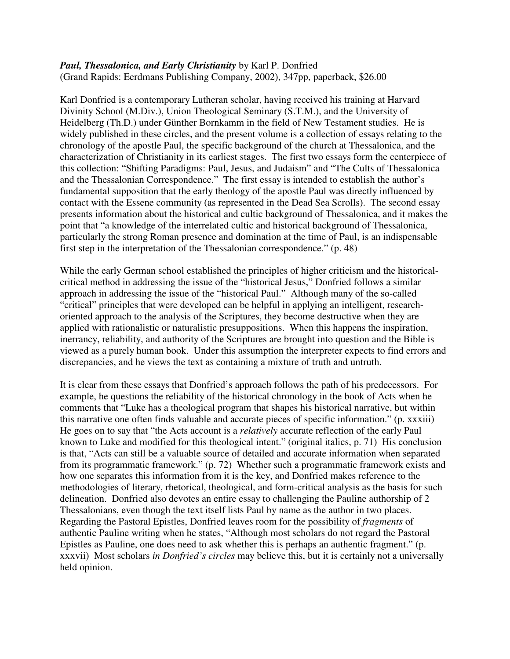## *Paul, Thessalonica, and Early Christianity* by Karl P. Donfried (Grand Rapids: Eerdmans Publishing Company, 2002), 347pp, paperback, \$26.00

Karl Donfried is a contemporary Lutheran scholar, having received his training at Harvard Divinity School (M.Div.), Union Theological Seminary (S.T.M.), and the University of Heidelberg (Th.D.) under Günther Bornkamm in the field of New Testament studies. He is widely published in these circles, and the present volume is a collection of essays relating to the chronology of the apostle Paul, the specific background of the church at Thessalonica, and the characterization of Christianity in its earliest stages. The first two essays form the centerpiece of this collection: "Shifting Paradigms: Paul, Jesus, and Judaism" and "The Cults of Thessalonica and the Thessalonian Correspondence." The first essay is intended to establish the author's fundamental supposition that the early theology of the apostle Paul was directly influenced by contact with the Essene community (as represented in the Dead Sea Scrolls). The second essay presents information about the historical and cultic background of Thessalonica, and it makes the point that "a knowledge of the interrelated cultic and historical background of Thessalonica, particularly the strong Roman presence and domination at the time of Paul, is an indispensable first step in the interpretation of the Thessalonian correspondence." (p. 48)

While the early German school established the principles of higher criticism and the historicalcritical method in addressing the issue of the "historical Jesus," Donfried follows a similar approach in addressing the issue of the "historical Paul." Although many of the so-called "critical" principles that were developed can be helpful in applying an intelligent, researchoriented approach to the analysis of the Scriptures, they become destructive when they are applied with rationalistic or naturalistic presuppositions. When this happens the inspiration, inerrancy, reliability, and authority of the Scriptures are brought into question and the Bible is viewed as a purely human book. Under this assumption the interpreter expects to find errors and discrepancies, and he views the text as containing a mixture of truth and untruth.

It is clear from these essays that Donfried's approach follows the path of his predecessors. For example, he questions the reliability of the historical chronology in the book of Acts when he comments that "Luke has a theological program that shapes his historical narrative, but within this narrative one often finds valuable and accurate pieces of specific information." (p. xxxiii) He goes on to say that "the Acts account is a *relatively* accurate reflection of the early Paul known to Luke and modified for this theological intent." (original italics, p. 71) His conclusion is that, "Acts can still be a valuable source of detailed and accurate information when separated from its programmatic framework." (p. 72) Whether such a programmatic framework exists and how one separates this information from it is the key, and Donfried makes reference to the methodologies of literary, rhetorical, theological, and form-critical analysis as the basis for such delineation. Donfried also devotes an entire essay to challenging the Pauline authorship of 2 Thessalonians, even though the text itself lists Paul by name as the author in two places. Regarding the Pastoral Epistles, Donfried leaves room for the possibility of *fragments* of authentic Pauline writing when he states, "Although most scholars do not regard the Pastoral Epistles as Pauline, one does need to ask whether this is perhaps an authentic fragment." (p. xxxvii) Most scholars *in Donfried's circles* may believe this, but it is certainly not a universally held opinion.